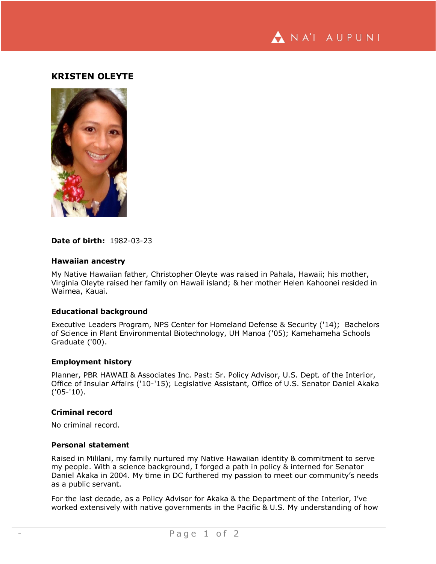

# **KRISTEN OLEYTE**



### **Date of birth:** 1982-03-23

### **Hawaiian ancestry**

My Native Hawaiian father, Christopher Oleyte was raised in Pahala, Hawaii; his mother, Virginia Oleyte raised her family on Hawaii island; & her mother Helen Kahoonei resided in Waimea, Kauai.

## **Educational background**

Executive Leaders Program, NPS Center for Homeland Defense & Security ('14); Bachelors of Science in Plant Environmental Biotechnology, UH Manoa ('05); Kamehameha Schools Graduate ('00).

#### **Employment history**

Planner, PBR HAWAII & Associates Inc. Past: Sr. Policy Advisor, U.S. Dept. of the Interior, Office of Insular Affairs ('10-'15); Legislative Assistant, Office of U.S. Senator Daniel Akaka ('05-'10).

### **Criminal record**

No criminal record.

#### **Personal statement**

Raised in Mililani, my family nurtured my Native Hawaiian identity & commitment to serve my people. With a science background, I forged a path in policy & interned for Senator Daniel Akaka in 2004. My time in DC furthered my passion to meet our community's needs as a public servant.

For the last decade, as a Policy Advisor for Akaka & the Department of the Interior, I've worked extensively with native governments in the Pacific & U.S. My understanding of how